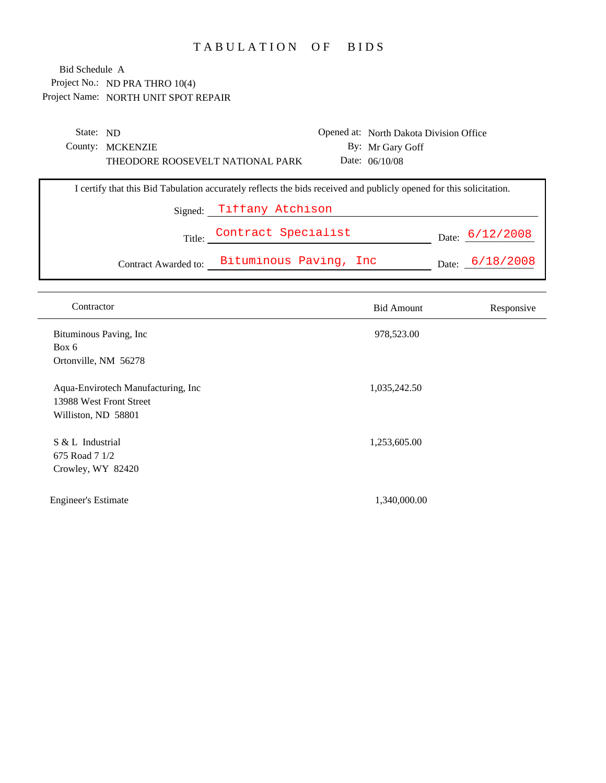## TABULATION OF BIDS

| State: ND |                                  |                                                                                                                     | Opened at: North Dakota Division Office |                 |
|-----------|----------------------------------|---------------------------------------------------------------------------------------------------------------------|-----------------------------------------|-----------------|
|           | County: MCKENZIE                 |                                                                                                                     | By: Mr Gary Goff                        |                 |
|           | THEODORE ROOSEVELT NATIONAL PARK |                                                                                                                     | Date: 06/10/08                          |                 |
|           |                                  |                                                                                                                     |                                         |                 |
|           |                                  | I certify that this Bid Tabulation accurately reflects the bids received and publicly opened for this solicitation. |                                         |                 |
|           |                                  | Signed: Tiffany Atchison                                                                                            |                                         |                 |
|           | Title:                           | Contract Specialist                                                                                                 |                                         | Date: 6/12/2008 |
|           | Contract Awarded to:             | Bituminous Paving, Inc                                                                                              |                                         | Date: 6/18/2008 |

| Contractor                                                                            | <b>Bid Amount</b> | Responsive |
|---------------------------------------------------------------------------------------|-------------------|------------|
| Bituminous Paving, Inc<br>Box 6<br>Ortonville, NM 56278                               | 978,523.00        |            |
| Aqua-Envirotech Manufacturing, Inc.<br>13988 West Front Street<br>Williston, ND 58801 | 1,035,242.50      |            |
| S & L Industrial<br>675 Road 7 1/2<br>Crowley, WY 82420                               | 1,253,605.00      |            |
| <b>Engineer's Estimate</b>                                                            | 1,340,000.00      |            |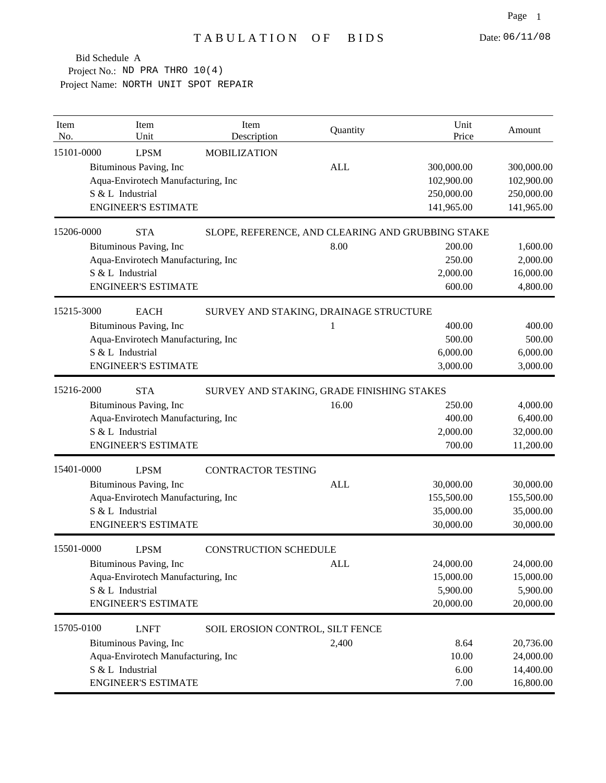| Item<br>No. | Item<br>Unit                       | Item<br>Description                               | Quantity   | Unit<br>Price | Amount     |
|-------------|------------------------------------|---------------------------------------------------|------------|---------------|------------|
| 15101-0000  | <b>LPSM</b>                        | <b>MOBILIZATION</b>                               |            |               |            |
|             | Bituminous Paving, Inc             |                                                   | <b>ALL</b> | 300,000.00    | 300,000.00 |
|             | Aqua-Envirotech Manufacturing, Inc |                                                   |            | 102,900.00    | 102,900.00 |
|             | S & L Industrial                   |                                                   |            | 250,000.00    | 250,000.00 |
|             | <b>ENGINEER'S ESTIMATE</b>         |                                                   |            | 141,965.00    | 141,965.00 |
| 15206-0000  | <b>STA</b>                         | SLOPE, REFERENCE, AND CLEARING AND GRUBBING STAKE |            |               |            |
|             | Bituminous Paving, Inc             |                                                   | 8.00       | 200.00        | 1,600.00   |
|             | Aqua-Envirotech Manufacturing, Inc |                                                   |            | 250.00        | 2,000.00   |
|             | S & L Industrial                   |                                                   |            | 2,000.00      | 16,000.00  |
|             | <b>ENGINEER'S ESTIMATE</b>         |                                                   |            | 600.00        | 4,800.00   |
| 15215-3000  | <b>EACH</b>                        | SURVEY AND STAKING, DRAINAGE STRUCTURE            |            |               |            |
|             | Bituminous Paving, Inc             |                                                   | 1          | 400.00        | 400.00     |
|             | Aqua-Envirotech Manufacturing, Inc |                                                   |            | 500.00        | 500.00     |
|             | S & L Industrial                   |                                                   |            | 6,000.00      | 6,000.00   |
|             | <b>ENGINEER'S ESTIMATE</b>         |                                                   |            | 3,000.00      | 3,000.00   |
| 15216-2000  | <b>STA</b>                         | SURVEY AND STAKING, GRADE FINISHING STAKES        |            |               |            |
|             | Bituminous Paving, Inc             |                                                   | 16.00      | 250.00        | 4,000.00   |
|             | Aqua-Envirotech Manufacturing, Inc |                                                   |            | 400.00        | 6,400.00   |
|             | S & L Industrial                   |                                                   |            | 2,000.00      | 32,000.00  |
|             | <b>ENGINEER'S ESTIMATE</b>         |                                                   |            | 700.00        | 11,200.00  |
| 15401-0000  | <b>LPSM</b>                        | <b>CONTRACTOR TESTING</b>                         |            |               |            |
|             | Bituminous Paving, Inc             |                                                   | <b>ALL</b> | 30,000.00     | 30,000.00  |
|             | Aqua-Envirotech Manufacturing, Inc |                                                   |            | 155,500.00    | 155,500.00 |
|             | S & L Industrial                   |                                                   |            | 35,000.00     | 35,000.00  |
|             | <b>ENGINEER'S ESTIMATE</b>         |                                                   |            | 30,000.00     | 30,000.00  |
| 15501-0000  | <b>LPSM</b>                        | <b>CONSTRUCTION SCHEDULE</b>                      |            |               |            |
|             | Bituminous Paving, Inc             |                                                   | <b>ALL</b> | 24,000.00     | 24,000.00  |
|             | Aqua-Envirotech Manufacturing, Inc |                                                   |            | 15,000.00     | 15,000.00  |
|             | S & L Industrial                   |                                                   |            | 5,900.00      | 5,900.00   |
|             | <b>ENGINEER'S ESTIMATE</b>         |                                                   |            | 20,000.00     | 20,000.00  |
| 15705-0100  | <b>LNFT</b>                        | SOIL EROSION CONTROL, SILT FENCE                  |            |               |            |
|             | Bituminous Paving, Inc             |                                                   | 2,400      | 8.64          | 20,736.00  |
|             | Aqua-Envirotech Manufacturing, Inc |                                                   |            | 10.00         | 24,000.00  |
|             | S & L Industrial                   |                                                   |            | 6.00          | 14,400.00  |
|             | <b>ENGINEER'S ESTIMATE</b>         |                                                   |            | 7.00          | 16,800.00  |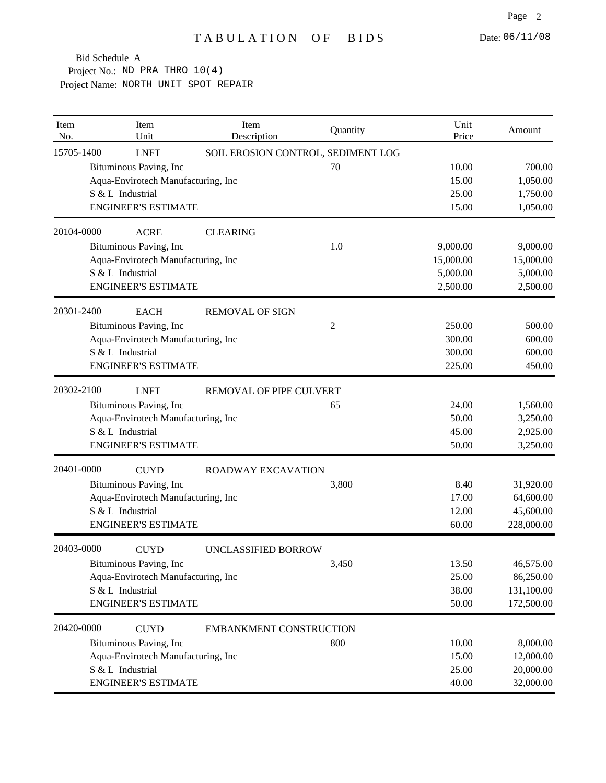| Item<br>No. | Item<br>Unit                       | Item<br>Description            | Quantity                           | Unit<br>Price | Amount     |
|-------------|------------------------------------|--------------------------------|------------------------------------|---------------|------------|
| 15705-1400  | <b>LNFT</b>                        |                                | SOIL EROSION CONTROL, SEDIMENT LOG |               |            |
|             | Bituminous Paving, Inc             |                                | 70                                 | 10.00         | 700.00     |
|             | Aqua-Envirotech Manufacturing, Inc |                                |                                    | 15.00         | 1,050.00   |
|             | S & L Industrial                   |                                |                                    | 25.00         | 1,750.00   |
|             | <b>ENGINEER'S ESTIMATE</b>         |                                |                                    | 15.00         | 1,050.00   |
| 20104-0000  | <b>ACRE</b>                        | <b>CLEARING</b>                |                                    |               |            |
|             | Bituminous Paving, Inc             |                                | 1.0                                | 9,000.00      | 9,000.00   |
|             | Aqua-Envirotech Manufacturing, Inc |                                |                                    | 15,000.00     | 15,000.00  |
|             | S & L Industrial                   |                                |                                    | 5,000.00      | 5,000.00   |
|             | <b>ENGINEER'S ESTIMATE</b>         |                                |                                    | 2,500.00      | 2,500.00   |
| 20301-2400  | <b>EACH</b>                        | <b>REMOVAL OF SIGN</b>         |                                    |               |            |
|             | Bituminous Paving, Inc             |                                | 2                                  | 250.00        | 500.00     |
|             | Aqua-Envirotech Manufacturing, Inc |                                |                                    | 300.00        | 600.00     |
|             | S & L Industrial                   |                                |                                    | 300.00        | 600.00     |
|             | <b>ENGINEER'S ESTIMATE</b>         |                                |                                    | 225.00        | 450.00     |
| 20302-2100  | <b>LNFT</b>                        | REMOVAL OF PIPE CULVERT        |                                    |               |            |
|             | Bituminous Paving, Inc             |                                | 65                                 | 24.00         | 1,560.00   |
|             | Aqua-Envirotech Manufacturing, Inc |                                |                                    | 50.00         | 3,250.00   |
|             | S & L Industrial                   |                                |                                    | 45.00         | 2,925.00   |
|             | <b>ENGINEER'S ESTIMATE</b>         |                                |                                    | 50.00         | 3,250.00   |
| 20401-0000  | <b>CUYD</b>                        | <b>ROADWAY EXCAVATION</b>      |                                    |               |            |
|             | Bituminous Paving, Inc             |                                | 3,800                              | 8.40          | 31,920.00  |
|             | Aqua-Envirotech Manufacturing, Inc |                                |                                    | 17.00         | 64,600.00  |
|             | S & L Industrial                   |                                |                                    | 12.00         | 45,600.00  |
|             | <b>ENGINEER'S ESTIMATE</b>         |                                |                                    | 60.00         | 228,000.00 |
| 20403-0000  | <b>CUYD</b>                        | UNCLASSIFIED BORROW            |                                    |               |            |
|             | Bituminous Paving, Inc             |                                | 3,450                              | 13.50         | 46,575.00  |
|             | Aqua-Envirotech Manufacturing, Inc |                                |                                    | 25.00         | 86,250.00  |
|             | S & L Industrial                   |                                |                                    | 38.00         | 131,100.00 |
|             | <b>ENGINEER'S ESTIMATE</b>         |                                |                                    | 50.00         | 172,500.00 |
| 20420-0000  | <b>CUYD</b>                        | <b>EMBANKMENT CONSTRUCTION</b> |                                    |               |            |
|             | Bituminous Paving, Inc             |                                | 800                                | 10.00         | 8,000.00   |
|             | Aqua-Envirotech Manufacturing, Inc |                                |                                    | 15.00         | 12,000.00  |
|             | S & L Industrial                   |                                |                                    | 25.00         | 20,000.00  |
|             | <b>ENGINEER'S ESTIMATE</b>         |                                |                                    | 40.00         | 32,000.00  |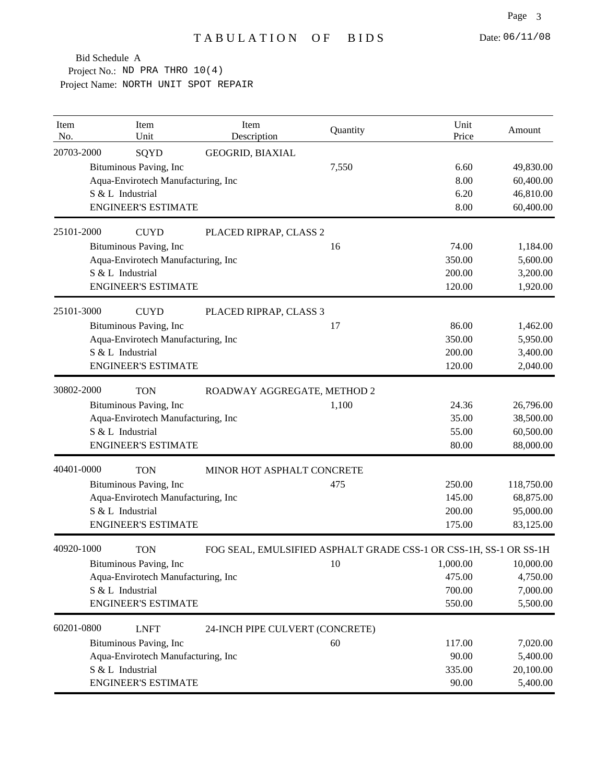| Item<br>No. | Item<br>Unit                       | Item<br>Description             | Quantity | Unit<br>Price                                                     | Amount     |
|-------------|------------------------------------|---------------------------------|----------|-------------------------------------------------------------------|------------|
| 20703-2000  | SQYD                               | GEOGRID, BIAXIAL                |          |                                                                   |            |
|             | Bituminous Paving, Inc             |                                 | 7,550    | 6.60                                                              | 49,830.00  |
|             | Aqua-Envirotech Manufacturing, Inc |                                 |          | 8.00                                                              | 60,400.00  |
|             | S & L Industrial                   |                                 |          | 6.20                                                              | 46,810.00  |
|             | <b>ENGINEER'S ESTIMATE</b>         |                                 |          | 8.00                                                              | 60,400.00  |
| 25101-2000  | <b>CUYD</b>                        | PLACED RIPRAP, CLASS 2          |          |                                                                   |            |
|             | Bituminous Paving, Inc             |                                 | 16       | 74.00                                                             | 1,184.00   |
|             | Aqua-Envirotech Manufacturing, Inc |                                 |          | 350.00                                                            | 5,600.00   |
|             | S & L Industrial                   |                                 |          | 200.00                                                            | 3,200.00   |
|             | <b>ENGINEER'S ESTIMATE</b>         |                                 |          | 120.00                                                            | 1,920.00   |
| 25101-3000  | <b>CUYD</b>                        | PLACED RIPRAP, CLASS 3          |          |                                                                   |            |
|             | Bituminous Paving, Inc             |                                 | 17       | 86.00                                                             | 1,462.00   |
|             | Aqua-Envirotech Manufacturing, Inc |                                 |          | 350.00                                                            | 5,950.00   |
|             | S & L Industrial                   |                                 |          | 200.00                                                            | 3,400.00   |
|             | <b>ENGINEER'S ESTIMATE</b>         |                                 |          | 120.00                                                            | 2,040.00   |
| 30802-2000  | <b>TON</b>                         | ROADWAY AGGREGATE, METHOD 2     |          |                                                                   |            |
|             | Bituminous Paving, Inc             |                                 | 1,100    | 24.36                                                             | 26,796.00  |
|             | Aqua-Envirotech Manufacturing, Inc |                                 |          | 35.00                                                             | 38,500.00  |
|             | S & L Industrial                   |                                 |          | 55.00                                                             | 60,500.00  |
|             | <b>ENGINEER'S ESTIMATE</b>         |                                 |          | 80.00                                                             | 88,000.00  |
| 40401-0000  | <b>TON</b>                         | MINOR HOT ASPHALT CONCRETE      |          |                                                                   |            |
|             | Bituminous Paving, Inc             |                                 | 475      | 250.00                                                            | 118,750.00 |
|             | Aqua-Envirotech Manufacturing, Inc |                                 |          | 145.00                                                            | 68,875.00  |
|             | S & L Industrial                   |                                 |          | 200.00                                                            | 95,000.00  |
|             | <b>ENGINEER'S ESTIMATE</b>         |                                 |          | 175.00                                                            | 83,125.00  |
| 40920-1000  | <b>TON</b>                         |                                 |          | FOG SEAL, EMULSIFIED ASPHALT GRADE CSS-1 OR CSS-1H, SS-1 OR SS-1H |            |
|             | Bituminous Paving, Inc             |                                 | 10       | 1,000.00                                                          | 10,000.00  |
|             | Aqua-Envirotech Manufacturing, Inc |                                 |          | 475.00                                                            | 4,750.00   |
|             | S & L Industrial                   |                                 |          | 700.00                                                            | 7,000.00   |
|             | <b>ENGINEER'S ESTIMATE</b>         |                                 |          | 550.00                                                            | 5,500.00   |
| 60201-0800  | <b>LNFT</b>                        | 24-INCH PIPE CULVERT (CONCRETE) |          |                                                                   |            |
|             | Bituminous Paving, Inc             |                                 | 60       | 117.00                                                            | 7,020.00   |
|             | Aqua-Envirotech Manufacturing, Inc |                                 |          | 90.00                                                             | 5,400.00   |
|             | S & L Industrial                   |                                 |          | 335.00                                                            | 20,100.00  |
|             | <b>ENGINEER'S ESTIMATE</b>         |                                 |          | 90.00                                                             | 5,400.00   |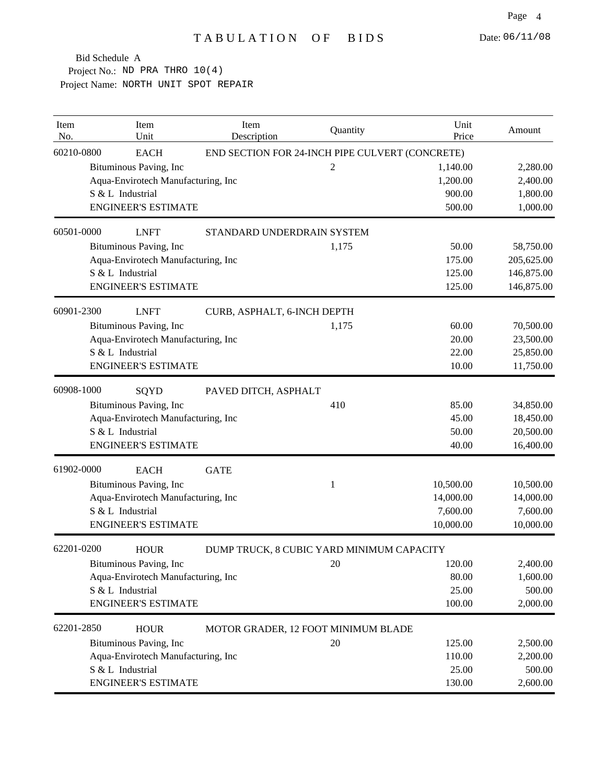| Item<br>No. | Item<br>Unit                       | Item<br>Description                             | Quantity       | Unit<br>Price | Amount     |
|-------------|------------------------------------|-------------------------------------------------|----------------|---------------|------------|
| 60210-0800  | <b>EACH</b>                        | END SECTION FOR 24-INCH PIPE CULVERT (CONCRETE) |                |               |            |
|             | Bituminous Paving, Inc             |                                                 | $\overline{c}$ | 1,140.00      | 2,280.00   |
|             | Aqua-Envirotech Manufacturing, Inc |                                                 |                | 1,200.00      | 2,400.00   |
|             | S & L Industrial                   |                                                 |                | 900.00        | 1,800.00   |
|             | <b>ENGINEER'S ESTIMATE</b>         |                                                 |                | 500.00        | 1,000.00   |
| 60501-0000  | <b>LNFT</b>                        | STANDARD UNDERDRAIN SYSTEM                      |                |               |            |
|             | Bituminous Paving, Inc             |                                                 | 1,175          | 50.00         | 58,750.00  |
|             | Aqua-Envirotech Manufacturing, Inc |                                                 |                | 175.00        | 205,625.00 |
|             | S & L Industrial                   |                                                 |                | 125.00        | 146,875.00 |
|             | <b>ENGINEER'S ESTIMATE</b>         |                                                 |                | 125.00        | 146,875.00 |
| 60901-2300  | <b>LNFT</b>                        | CURB, ASPHALT, 6-INCH DEPTH                     |                |               |            |
|             | Bituminous Paving, Inc             |                                                 | 1,175          | 60.00         | 70,500.00  |
|             | Aqua-Envirotech Manufacturing, Inc |                                                 |                | 20.00         | 23,500.00  |
|             | S & L Industrial                   |                                                 |                | 22.00         | 25,850.00  |
|             | <b>ENGINEER'S ESTIMATE</b>         |                                                 |                | 10.00         | 11,750.00  |
| 60908-1000  | SQYD                               | PAVED DITCH, ASPHALT                            |                |               |            |
|             | Bituminous Paving, Inc             |                                                 | 410            | 85.00         | 34,850.00  |
|             | Aqua-Envirotech Manufacturing, Inc |                                                 |                | 45.00         | 18,450.00  |
|             | S & L Industrial                   |                                                 |                | 50.00         | 20,500.00  |
|             | <b>ENGINEER'S ESTIMATE</b>         |                                                 |                | 40.00         | 16,400.00  |
| 61902-0000  | <b>EACH</b>                        | <b>GATE</b>                                     |                |               |            |
|             | Bituminous Paving, Inc             |                                                 | 1              | 10,500.00     | 10,500.00  |
|             | Aqua-Envirotech Manufacturing, Inc |                                                 |                | 14,000.00     | 14,000.00  |
|             | S & L Industrial                   |                                                 |                | 7,600.00      | 7,600.00   |
|             | <b>ENGINEER'S ESTIMATE</b>         |                                                 |                | 10,000.00     | 10,000.00  |
| 62201-0200  | <b>HOUR</b>                        | DUMP TRUCK, 8 CUBIC YARD MINIMUM CAPACITY       |                |               |            |
|             | Bituminous Paving, Inc             |                                                 | 20             | 120.00        | 2,400.00   |
|             | Aqua-Envirotech Manufacturing, Inc |                                                 |                | 80.00         | 1,600.00   |
|             | S & L Industrial                   |                                                 |                | 25.00         | 500.00     |
|             | <b>ENGINEER'S ESTIMATE</b>         |                                                 |                | 100.00        | 2,000.00   |
| 62201-2850  | <b>HOUR</b>                        | MOTOR GRADER, 12 FOOT MINIMUM BLADE             |                |               |            |
|             | Bituminous Paving, Inc             |                                                 | 20             | 125.00        | 2,500.00   |
|             | Aqua-Envirotech Manufacturing, Inc |                                                 |                | 110.00        | 2,200.00   |
|             | S & L Industrial                   |                                                 |                | 25.00         | 500.00     |
|             | <b>ENGINEER'S ESTIMATE</b>         |                                                 |                | 130.00        | 2,600.00   |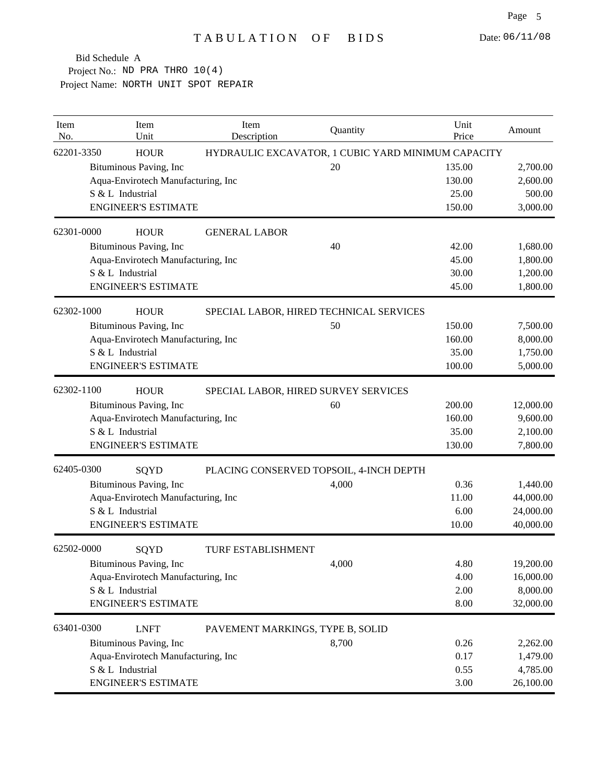| Item<br>No. | Item<br>Unit                       | Item<br>Description                     | Quantity | Unit<br>Price                                      | Amount    |
|-------------|------------------------------------|-----------------------------------------|----------|----------------------------------------------------|-----------|
| 62201-3350  | <b>HOUR</b>                        |                                         |          | HYDRAULIC EXCAVATOR, 1 CUBIC YARD MINIMUM CAPACITY |           |
|             | Bituminous Paving, Inc             |                                         | 20       | 135.00                                             | 2,700.00  |
|             | Aqua-Envirotech Manufacturing, Inc |                                         |          | 130.00                                             | 2,600.00  |
|             | S & L Industrial                   |                                         |          | 25.00                                              | 500.00    |
|             | <b>ENGINEER'S ESTIMATE</b>         |                                         |          | 150.00                                             | 3,000.00  |
| 62301-0000  | <b>HOUR</b>                        | <b>GENERAL LABOR</b>                    |          |                                                    |           |
|             | Bituminous Paving, Inc             |                                         | 40       | 42.00                                              | 1,680.00  |
|             | Aqua-Envirotech Manufacturing, Inc |                                         |          | 45.00                                              | 1,800.00  |
|             | S & L Industrial                   |                                         |          | 30.00                                              | 1,200.00  |
|             | <b>ENGINEER'S ESTIMATE</b>         |                                         |          | 45.00                                              | 1,800.00  |
| 62302-1000  | <b>HOUR</b>                        | SPECIAL LABOR, HIRED TECHNICAL SERVICES |          |                                                    |           |
|             | Bituminous Paving, Inc             |                                         | 50       | 150.00                                             | 7,500.00  |
|             | Aqua-Envirotech Manufacturing, Inc |                                         |          | 160.00                                             | 8,000.00  |
|             | S & L Industrial                   |                                         |          | 35.00                                              | 1,750.00  |
|             | <b>ENGINEER'S ESTIMATE</b>         |                                         |          | 100.00                                             | 5,000.00  |
| 62302-1100  | <b>HOUR</b>                        | SPECIAL LABOR, HIRED SURVEY SERVICES    |          |                                                    |           |
|             | Bituminous Paving, Inc             |                                         | 60       | 200.00                                             | 12,000.00 |
|             | Aqua-Envirotech Manufacturing, Inc |                                         |          | 160.00                                             | 9,600.00  |
|             | S & L Industrial                   |                                         |          | 35.00                                              | 2,100.00  |
|             | <b>ENGINEER'S ESTIMATE</b>         |                                         |          | 130.00                                             | 7,800.00  |
| 62405-0300  | SQYD                               | PLACING CONSERVED TOPSOIL, 4-INCH DEPTH |          |                                                    |           |
|             | Bituminous Paving, Inc             |                                         | 4,000    | 0.36                                               | 1,440.00  |
|             | Aqua-Envirotech Manufacturing, Inc |                                         |          | 11.00                                              | 44,000.00 |
|             | S & L Industrial                   |                                         |          | 6.00                                               | 24,000.00 |
|             | <b>ENGINEER'S ESTIMATE</b>         |                                         |          | 10.00                                              | 40,000.00 |
| 62502-0000  | SQYD                               | <b>TURF ESTABLISHMENT</b>               |          |                                                    |           |
|             | Bituminous Paving, Inc             |                                         | 4,000    | 4.80                                               | 19,200.00 |
|             | Aqua-Envirotech Manufacturing, Inc |                                         |          | 4.00                                               | 16,000.00 |
|             | S & L Industrial                   |                                         |          | 2.00                                               | 8,000.00  |
|             | <b>ENGINEER'S ESTIMATE</b>         |                                         |          | 8.00                                               | 32,000.00 |
| 63401-0300  | <b>LNFT</b>                        | PAVEMENT MARKINGS, TYPE B, SOLID        |          |                                                    |           |
|             | Bituminous Paving, Inc             |                                         | 8,700    | 0.26                                               | 2,262.00  |
|             | Aqua-Envirotech Manufacturing, Inc |                                         |          | 0.17                                               | 1,479.00  |
|             | S & L Industrial                   |                                         |          | 0.55                                               | 4,785.00  |
|             | <b>ENGINEER'S ESTIMATE</b>         |                                         |          | 3.00                                               | 26,100.00 |